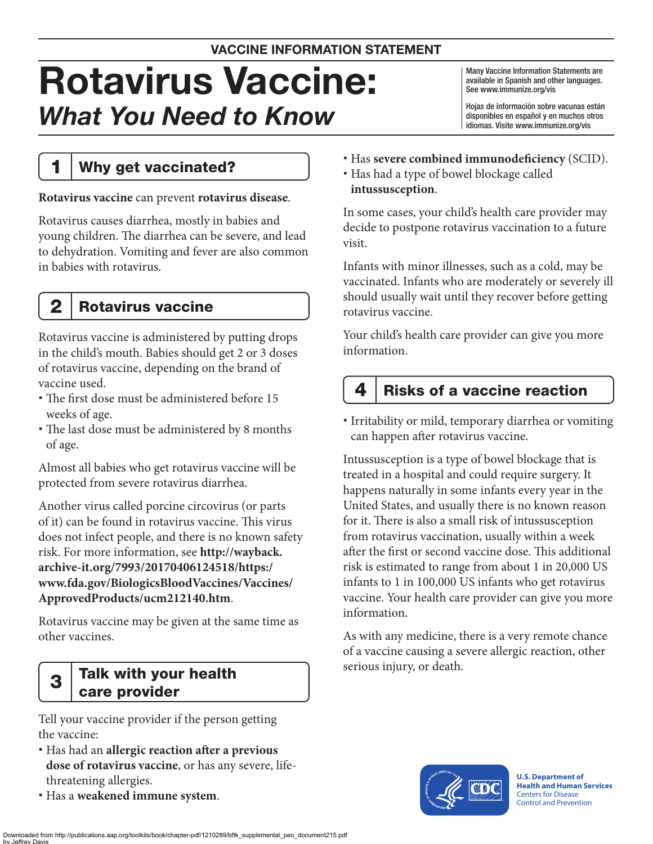# Rotavirus Vaccine: *What You Need to Know*

Many Vaccine Information Statements are available in Spanish and other languages. See [www.immunize.org/vis](http://www.immunize.org/vis)

Hojas de información sobre vacunas están disponibles en español y en muchos otros idiomas. Visite [www.immunize.org/vis](http://www.immunize.org/vis)

# 1 | Why get vaccinated?

### **Rotavirus vaccine** can prevent **rotavirus disease**.

Rotavirus causes diarrhea, mostly in babies and young children. The diarrhea can be severe, and lead to dehydration. Vomiting and fever are also common in babies with rotavirus.

# 2 | Rotavirus vaccine

Rotavirus vaccine is administered by putting drops in the child's mouth. Babies should get 2 or 3 doses of rotavirus vaccine, depending on the brand of vaccine used.

- The first dose must be administered before 15 weeks of age.
- The last dose must be administered by 8 months of age.

Almost all babies who get rotavirus vaccine will be protected from severe rotavirus diarrhea.

Another virus called porcine circovirus (or parts of it) can be found in rotavirus vaccine. This virus does not infect people, and there is no known safety risk. For more information, see **[http://wayback.](http://wayback.archive-it.org/7993/20170406124518/https:/www.fda.gov/BiologicsBloodVaccines/Vaccines/ApprovedProducts/ucm212140.htm) [archive-it.org/7993/20170406124518/https:/](http://wayback.archive-it.org/7993/20170406124518/https:/www.fda.gov/BiologicsBloodVaccines/Vaccines/ApprovedProducts/ucm212140.htm) [www.fda.gov/BiologicsBloodVaccines/Vaccines/](http://wayback.archive-it.org/7993/20170406124518/https:/www.fda.gov/BiologicsBloodVaccines/Vaccines/ApprovedProducts/ucm212140.htm) [ApprovedProducts/ucm212140.htm](http://wayback.archive-it.org/7993/20170406124518/https:/www.fda.gov/BiologicsBloodVaccines/Vaccines/ApprovedProducts/ucm212140.htm)**.

Rotavirus vaccine may be given at the same time as other vaccines.

### $3$  Talk with your health care provider

Tell your vaccine provider if the person getting the vaccine:

- Has had an **allergic reaction after a previous dose of rotavirus vaccine**, or has any severe, lifethreatening allergies.
- Has a **weakened immune system**.
- Has **severe combined immunodeficiency** (SCID).
- Has had a type of bowel blockage called **intussusception**.

In some cases, your child's health care provider may decide to postpone rotavirus vaccination to a future visit.

Infants with minor illnesses, such as a cold, may be vaccinated. Infants who are moderately or severely ill should usually wait until they recover before getting rotavirus vaccine.

Your child's health care provider can give you more information.

# 4  $\mid$  Risks of a vaccine reaction

 Irritability or mild, temporary diarrhea or vomiting can happen after rotavirus vaccine.

Intussusception is a type of bowel blockage that is treated in a hospital and could require surgery. It happens naturally in some infants every year in the United States, and usually there is no known reason for it. There is also a small risk of intussusception from rotavirus vaccination, usually within a week after the first or second vaccine dose. This additional risk is estimated to range from about 1 in 20,000 US infants to 1 in 100,000 US infants who get rotavirus vaccine. Your health care provider can give you more information.

As with any medicine, there is a very remote chance of a vaccine causing a severe allergic reaction, other serious injury, or death.



**U.S. Department of Health and Human Services**  Centers for Disease Control and Prevention